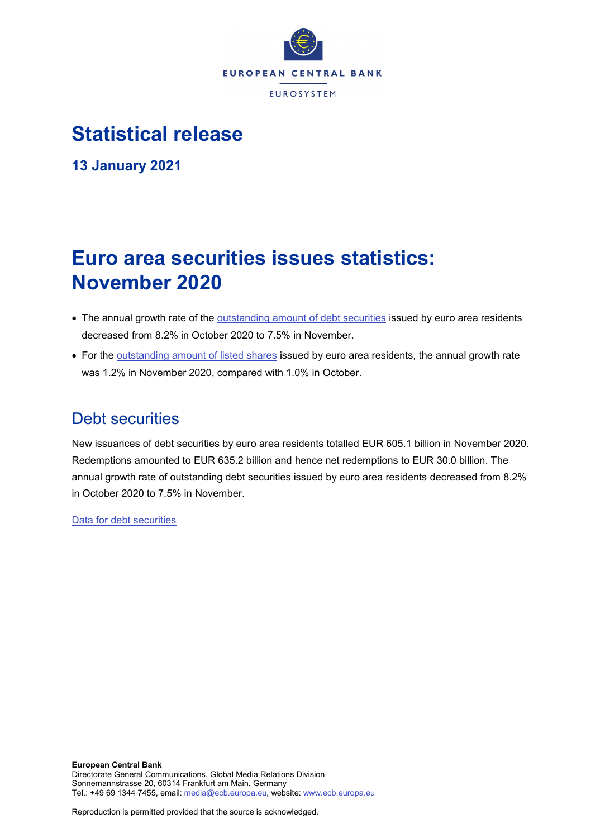

# **Statistical release**

**13 January 2021**

# **Euro area securities issues statistics: November 2020**

- The annual growth rate of the **outstanding amount of debt securities** issued by euro area residents decreased from 8.2% in October 2020 to 7.5% in November.
- For the [outstanding amount of listed shares](http://sdw.ecb.europa.eu/quickview.do?SERIES_KEY=130.SEC.M.I8.1000.F51100.M.I.Z01.A.Z) issued by euro area residents, the annual growth rate was 1.2% in November 2020, compared with 1.0% in October.

# Debt securities

New issuances of debt securities by euro area residents totalled EUR 605.1 billion in November 2020. Redemptions amounted to EUR 635.2 billion and hence net redemptions to EUR 30.0 billion. The annual growth rate of outstanding debt securities issued by euro area residents decreased from 8.2% in October 2020 to 7.5% in November.

[Data for debt securities](http://sdw.ecb.europa.eu/browseSelection.do?type=series&q=SEC.M.I8.1000.F33000.N.2.Z01.E.Z%2c+SEC.M.I8.1000.F33000.N.3.Z01.E.Z%2c+SEC.M.I8.1000.F33000.N.4.Z01.E.Z%2c+SEC.M.I8.1000.F33000.N.I.Z01.A.Z&node=SEARCHRESULTS&ec=&oc=&rc=&cv=&pb=&dc=&df=)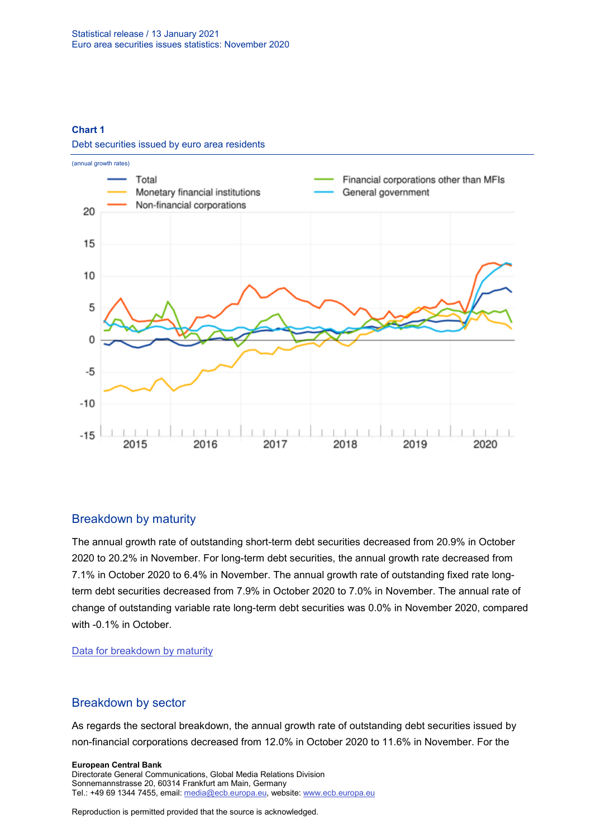#### **Chart 1**

Debt securities issued by euro area residents



### Breakdown by maturity

The annual growth rate of outstanding short-term debt securities decreased from 20.9% in October 2020 to 20.2% in November. For long-term debt securities, the annual growth rate decreased from 7.1% in October 2020 to 6.4% in November. The annual growth rate of outstanding fixed rate longterm debt securities decreased from 7.9% in October 2020 to 7.0% in November. The annual rate of change of outstanding variable rate long-term debt securities was 0.0% in November 2020, compared with -0.1% in October.

[Data for breakdown by maturity](http://sdw.ecb.europa.eu/browseSelection.do?type=series&q=SEC.M.I8.1000.F33100.N.I.Z01.A.Z%2c+SEC.M.I8.1000.F33200.N.I.Z01.A.Z%2c+SEC.M.I8.1000.F33201.N.I.Z01.A.Z%2c+SEC.M.I8.1000.F33202.N.I.Z01.A.Z&node=SEARCHRESULTS&ec=&oc=&rc=&cv=&pb=&dc=&df=)

### Breakdown by sector

As regards the sectoral breakdown, the annual growth rate of outstanding debt securities issued by non-financial corporations decreased from 12.0% in October 2020 to 11.6% in November. For the

**European Central Bank**

Directorate General Communications, Global Media Relations Division Sonnemannstrasse 20, 60314 Frankfurt am Main, Germany Tel.: +49 69 1344 7455, email[: media@ecb.europa.eu,](mailto:media@ecb.europa.eu) website: www.ecb.europa.eu

Reproduction is permitted provided that the source is acknowledged.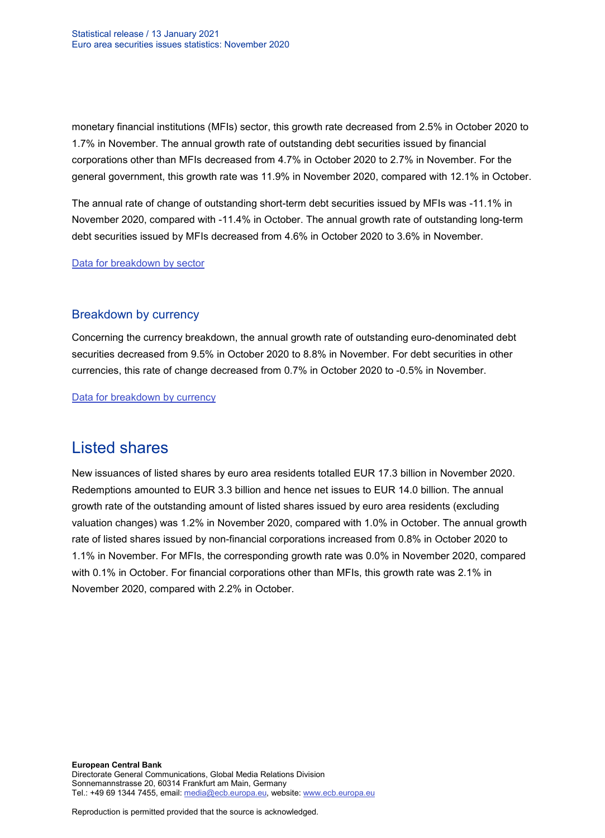monetary financial institutions (MFIs) sector, this growth rate decreased from 2.5% in October 2020 to 1.7% in November. The annual growth rate of outstanding debt securities issued by financial corporations other than MFIs decreased from 4.7% in October 2020 to 2.7% in November. For the general government, this growth rate was 11.9% in November 2020, compared with 12.1% in October.

The annual rate of change of outstanding short-term debt securities issued by MFIs was -11.1% in November 2020, compared with -11.4% in October. The annual growth rate of outstanding long-term debt securities issued by MFIs decreased from 4.6% in October 2020 to 3.6% in November.

[Data for breakdown by sector](http://sdw.ecb.europa.eu/browseSelection.do?type=series&q=SEC.M.I8.1100.F33000.N.I.Z01.A.Z%2cSEC.M.I8.1220.F33000.N.I.Z01.A.Z%2cSEC.M.I8.1235.F33000.N.I.Z01.A.Z%2cSEC.M.I8.1300.F33000.N.I.Z01.A.Z%2cSEC.M.I8.1220.F33100.N.I.Z01.A.Z%2cSEC.M.I8.1220.F33200.N.I.Z01.A.Z&node=SEARCHRESULTS&ec=&oc=&rc=&cv=&pb=&dc=&df=)

### Breakdown by currency

Concerning the currency breakdown, the annual growth rate of outstanding euro-denominated debt securities decreased from 9.5% in October 2020 to 8.8% in November. For debt securities in other currencies, this rate of change decreased from 0.7% in October 2020 to -0.5% in November.

[Data for breakdown by currency](http://sdw.ecb.europa.eu/browseSelection.do?type=series&q=SEC.M.I8.1000.F33000.N.I.EUR.A.Z%2cSEC.M.I8.1000.F33000.N.I.Z06.A.Z&node=SEARCHRESULTS&ec=&oc=&rc=&cv=&pb=&dc=&df=)

## Listed shares

New issuances of listed shares by euro area residents totalled EUR 17.3 billion in November 2020. Redemptions amounted to EUR 3.3 billion and hence net issues to EUR 14.0 billion. The annual growth rate of the outstanding amount of listed shares issued by euro area residents (excluding valuation changes) was 1.2% in November 2020, compared with 1.0% in October. The annual growth rate of listed shares issued by non-financial corporations increased from 0.8% in October 2020 to 1.1% in November. For MFIs, the corresponding growth rate was 0.0% in November 2020, compared with 0.1% in October. For financial corporations other than MFIs, this growth rate was 2.1% in November 2020, compared with 2.2% in October.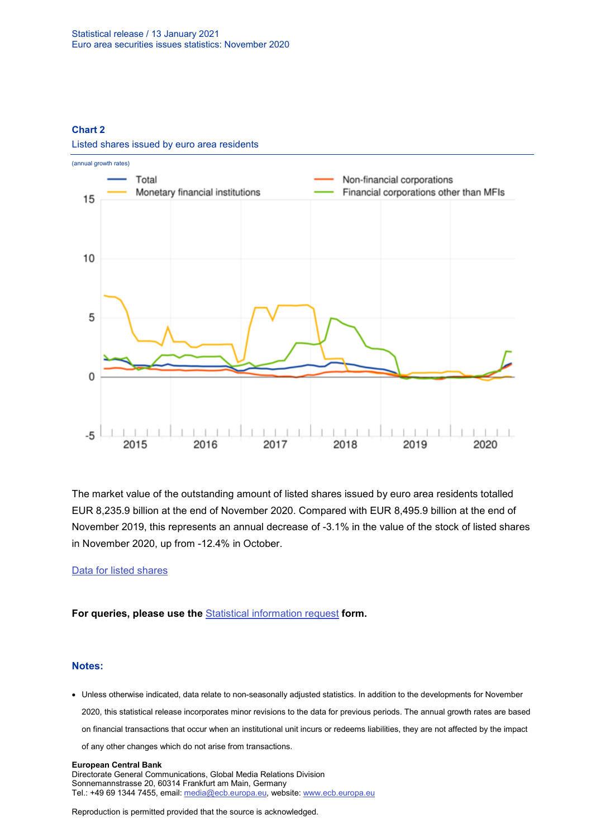#### **Chart 2**



Listed shares issued by euro area residents

The market value of the outstanding amount of listed shares issued by euro area residents totalled EUR 8,235.9 billion at the end of November 2020. Compared with EUR 8,495.9 billion at the end of November 2019, this represents an annual decrease of -3.1% in the value of the stock of listed shares in November 2020, up from -12.4% in October.

#### [Data for listed](http://sdw.ecb.europa.eu/browseSelection.do?type=series&q=SEC.M.I8.1000.F51100.M.2.Z01.E.Z%2cSEC.M.I8.1000.F51100.M.3.Z01.E.Z%2cSEC.M.I8.1000.F51100.M.4.Z01.E.Z%2cSEC.M.I8.1000.F51100.M.I.Z01.A.Z%2cSEC.M.I8.1100.F51100.M.I.Z01.A.Z%2cSEC.M.I8.1220.F51100.M.I.Z01.A.Z%2cSEC.M.I8.1235.F51100.M.I.Z01.A.Z%2cSEC.M.I8.1000.F51100.M.1.Z01.E.Z&node=SEARCHRESULTS&ec=&oc=&rc=&cv=&pb=&dc=&df=) shares

**For queries, please use the** [Statistical information request](https://ecb-registration.escb.eu/statistical-information) **form.**

#### **Notes:**

• Unless otherwise indicated, data relate to non-seasonally adjusted statistics. In addition to the developments for November 2020, this statistical release incorporates minor revisions to the data for previous periods. The annual growth rates are based on financial transactions that occur when an institutional unit incurs or redeems liabilities, they are not affected by the impact of any other changes which do not arise from transactions.

#### **European Central Bank**

Directorate General Communications, Global Media Relations Division Sonnemannstrasse 20, 60314 Frankfurt am Main, Germany Tel.: +49 69 1344 7455, email[: media@ecb.europa.eu,](mailto:media@ecb.europa.eu) website: www.ecb.europa.eu

Reproduction is permitted provided that the source is acknowledged.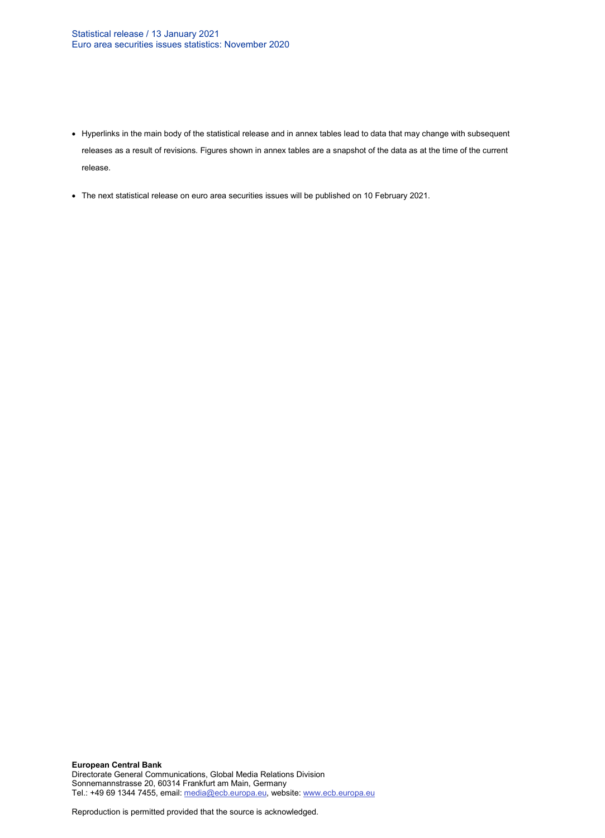- Hyperlinks in the main body of the statistical release and in annex tables lead to data that may change with subsequent releases as a result of revisions. Figures shown in annex tables are a snapshot of the data as at the time of the current release.
- The next statistical release on euro area securities issues will be published on 10 February 2021.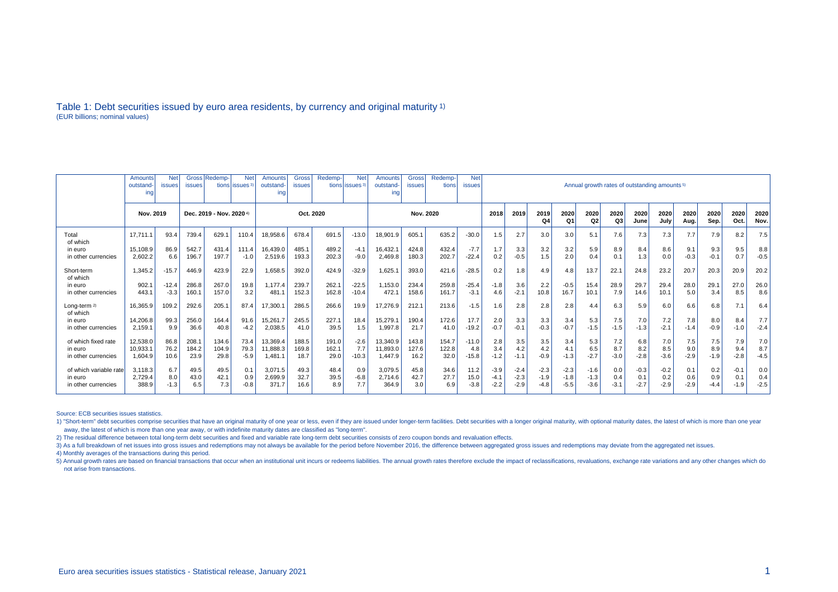#### Table 1: Debt securities issued by euro area residents, by currency and original maturity 1) (EUR billions; nominal values)

|                          | Amounts<br>outstand<br>ing | <b>issues</b> | Gross Redemp-            | <b>Net</b><br>tions lissues <sup>3</sup> | Amounts<br>outstand-<br>ing | Gross<br><b>issues</b> | Redemp- | <b>Net</b><br>tions issues <sup>3</sup> | <b>Amounts</b><br>outstand-<br>inc | <b>Gross</b><br>issues | Redemp-<br>tions | <b>Net</b><br><b>issues</b> | Annual growth rates of outstanding amounts <sup>5)</sup> |        |            |            |                        |            |              |              |              |              |              |              |        |
|--------------------------|----------------------------|---------------|--------------------------|------------------------------------------|-----------------------------|------------------------|---------|-----------------------------------------|------------------------------------|------------------------|------------------|-----------------------------|----------------------------------------------------------|--------|------------|------------|------------------------|------------|--------------|--------------|--------------|--------------|--------------|--------------|--------|
|                          | Nov. 2019                  |               | Dec. 2019 - Nov. 2020 4) |                                          |                             | Oct. 2020              |         |                                         | Nov. 2020                          |                        |                  |                             | 2018                                                     | 2019   | 2019<br>Q4 | 2020<br>Q1 | 2020<br>Q <sub>2</sub> | 2020<br>Q3 | 2020<br>June | 2020<br>July | 2020<br>Aug. | 2020<br>Sep. | 2020<br>Oct. | 2020<br>Nov. |        |
| Total<br>of which        | 17.711.1                   | 93.4          | 739.4                    | 629.1                                    | 110.4                       | 18,958.6               | 678.4   | 691.5                                   | $-13.0$                            | 18,901.9               | 605.1            | 635.2                       | $-30.0$                                                  | 1.5    | 2.7        | 3.0        | 3.0                    | 5.1        | 7.6          | 7.3          | 7.3          | 7.7          | 7.9          | 8.2          | 7.5    |
| in euro                  | 15.108.9                   | 86.9          | 542.7                    | 431.4                                    | 111.4                       | 16.439.0               | 485.1   | 489.2                                   | $-4.1$                             | 16.432.1               | 424.8            | 432.4                       | $-7.7$                                                   | 1.7    | 3.3        | 3.2        | 3.2                    | 5.9        | 8.9          | 8.4          | 8.6          | 9.1          | 9.3          | 9.5          | 8.8    |
| in other currencies      | 2.602.2                    | 6.6           | 196.7                    | 197.7                                    | $-1.0$                      | 2,519.6                | 193.3   | 202.3                                   | $-9.0$                             | 2,469.8                | 180.3            | 202.7                       | $-22.4$                                                  | 0.2    | $-0.5$     | 1.5        | 2.0                    | 0.4        | 0.1          | 1.3          | 0.0          | $-0.3$       | $-0.1$       | 0.7          | $-0.5$ |
| Short-term<br>of which   | 1.345.2                    | $-15.7$       | 446.9                    | 423.9                                    | 22.9                        | 1,658.5                | 392.0   | 424.9                                   | $-32.9$                            | 1,625.1                | 393.0            | 421.6                       | $-28.5$                                                  | 0.2    | 1.8        | 4.9        | 4.8                    | 13.7       | 22.7         | 24.8         | 23.2         | 20.7         | 20.3         | 20.9         | 20.2   |
| in euro                  | 902.1                      | $-12.4$       | 286.8                    | 267.0                                    | 19.8                        | 1.177.4                | 239.7   | 262.1                                   | $-22.5$                            | 1,153.0                | 234.4            | 259.8                       | $-25.4$                                                  | $-1.8$ | 3.6        | 2.2        | $-0.5$                 | 15.4       | 28.9         | 29.7         | 29.4         | 28.0         | 29.1         | 27.0         | 26.0   |
| in other currencies      | 443.1                      | $-3.3$        | 160.1                    | 157.0                                    | 3.2                         | 481.1                  | 152.3   | 162.8                                   | $-10.4$                            | 472.1                  | 158.6            | 161.7                       | $-3.1$                                                   | 4.6    | $-2.1$     | 10.8       | 16.7                   | 10.1       | 7.9          | 14.6         | 10.1         | 5.0          | 3.4          | 8.5          | 8.6    |
| Long-term 2)<br>of which | 16.365.9                   | 109.2         | 292.6                    | 205.1                                    | 87.4                        | 17,300.1               | 286.5   | 266.6                                   | 19.9                               | 17,276.9               | 212.1            | 213.6                       | $-1.5$                                                   | 1.6    | 2.8        | 2.8        | 2.8                    | 4.4        | 6.3          | 5.9          | 6.0          | 6.6          | 6.8          | 7.1          | 6.4    |
| in euro                  | 14.206.8                   | 99.3          | 256.0                    | 164.4                                    | 91.6                        | 15.261.7               | 245.5   | 227.7                                   | 18.4                               | 15.279.1               | 190.4            | 172.6                       | 17.7                                                     | 2.0    | 3.3        | 3.3        | 3.4                    | 5.3        | 7.5          | 7.0          | 7.2          | 7.8          | 8.0          | 8.4          | 7.7    |
| in other currencies      | 2.159.1                    | 9.9           | 36.6                     | 40.8                                     | $-4.2$                      | 2,038.5                | 41.0    | 39.5                                    | 1.5                                | 1,997.8                | 21.7             | 41.0                        | $-19.2$                                                  | $-0.7$ | $-0.1$     | $-0.3$     | $-0.7$                 | $-1.5$     | $-1.5$       | $-1.3$       | $-2.1$       | $-1.4$       | $-0.9$       | $-1.0$       | $-2.4$ |
| of which fixed rate      | 12.538.0                   | 86.8          | 208.1                    | 134.6                                    | 73.4                        | 13,369.4               | 188.5   | 191.0                                   | $-2.6$                             | 13,340.9               | 143.8            | 154.7                       | $-11.0$                                                  | 2.8    | 3.5        | 3.5        | 3.4                    | 5.3        | 7.2          | 6.8          | 7.0          | 7.5          | 7.5          | 7.9          | 7.0    |
| in euro                  | 10.933.1                   | 76.2          | 184.2                    | 104.9                                    | 79.3                        | 11.888.3               | 169.8   | 162.1                                   | 7.7                                | 11,893.0               | 127.6            | 122.8                       | 4.8                                                      | 3.4    | 4.2        | 4.2        | 4.1                    | 6.5        | 8.7          | 8.2          | 8.5          | 9.0          | 8.9          | 9.4          | 8.7    |
| in other currencies      | 1.604.9                    | 10.6          | 23.9                     | 29.8                                     | $-5.9$                      | 1,481.1                | 18.7    | 29.0                                    | $-10.3$                            | 1.447.9                | 16.2             | 32.0                        | $-15.8$                                                  | $-1.2$ | $-1.1$     | $-0.9$     | $-1.3$                 | $-2.7$     | $-3.0$       | $-2.8$       | $-3.6$       | $-2.9$       | $-1.9$       | $-2.8$       | $-4.5$ |
| of which variable rate   | 3.118.3                    | 6.7           | 49.5                     | 49.5                                     | 0.1                         | 3,071.5                | 49.3    | 48.4                                    | 0.9                                | 3,079.5                | 45.8             | 34.6                        | 11.2                                                     | $-3.9$ | $-2.4$     | $-2.3$     | $-2.3$                 | $-1.6$     | 0.0          | $-0.3$       | $-0.2$       | 0.1          | 0.2          | $-0.1$       | 0.0    |
| in euro                  | 2.729.4                    | 8.0           | 43.0                     | 42.1                                     | 0.9                         | 2,699.9                | 32.7    | 39.5                                    | $-6.8$                             | 2.714.6                | 42.7             | 27.7                        | 15.0                                                     | -4.1   | $-2.3$     | $-1.9$     | $-1.8$                 | $-1.3$     | 0.4          | 0.1          | 0.2          | 0.6          | 0.9          | 0.1          | 0.4    |
| in other currencies      | 388.9                      | $-1.3$        | 6.5                      | 7.3                                      | $-0.8$                      | 371.7                  | 16.6    | 8.9                                     | 7.7                                | 364.9                  | 3.0              | 6.9                         | $-3.8$                                                   | $-2.2$ | $-2.9$     | $-4.8$     | $-5.5$                 | $-3.6$     | $-3.1$       | $-2.7$       | $-2.9$       | $-2.9$       | $-4.4$       | $-1.9$       | $-2.5$ |

Source: ECB securities issues statistics.

1) "Short-term" debt securities comprise securities that have an original maturity of one year or less, even if they are issued under longer-term facilities. Debt securities with a longer original maturity, with optional m away, the latest of which is more than one year away, or with indefinite maturity dates are classified as "long-term".

2) The residual difference between total long-term debt securities and fixed and variable rate long-term debt securities consists of zero coupon bonds and revaluation effects.

3) As a full breakdown of net issues into gross issues and redemptions may not always be available for the period before November 2016, the difference between aggregated gross issues and redemptions may deviate from the ag

4) Monthly averages of the transactions during this period.

5) Annual growth rates are based on financial transactions that occur when an institutional unit incurs or redeems liabilities. The annual growth rates therefore exclude the impact of reclassifications, revaluations, excha not arise from transactions.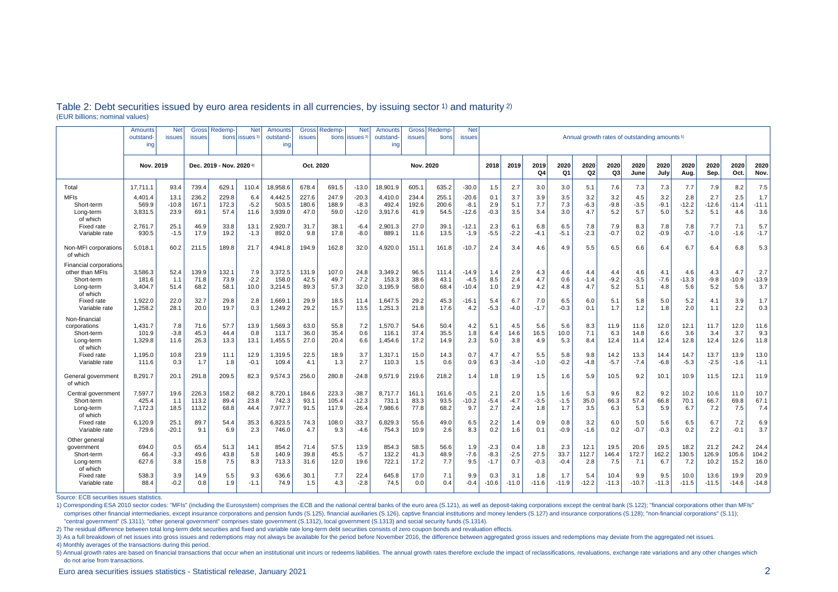|                                                                                         | Amounts<br>outstand-<br>ing | <b>Net</b><br>issues    | Gross<br><b>issues</b>  | Redemp-                  | <b>Net</b><br>tions lissues <sup>3</sup> | Amounts<br>outstand<br>ing  | <b>Gross</b><br><b>issues</b> | Redemp                  | <b>Net</b><br>tions issues <sup>3</sup> | Amounts<br>outstand-<br>ing | <b>Gross</b><br><b>issues</b> | <b>Redemp</b><br>tions | <b>Net</b><br><b>issues</b>  | Annual growth rates of outstanding amounts <sup>5)</sup> |                      |                       |                        |                      |                      |                      |                      |                       |                       |                       |                       |
|-----------------------------------------------------------------------------------------|-----------------------------|-------------------------|-------------------------|--------------------------|------------------------------------------|-----------------------------|-------------------------------|-------------------------|-----------------------------------------|-----------------------------|-------------------------------|------------------------|------------------------------|----------------------------------------------------------|----------------------|-----------------------|------------------------|----------------------|----------------------|----------------------|----------------------|-----------------------|-----------------------|-----------------------|-----------------------|
|                                                                                         | Nov. 2019                   |                         |                         | Dec. 2019 - Nov. 2020 4) |                                          | Oct. 2020                   |                               |                         | Nov. 2020                               |                             |                               |                        | 2018                         | 2019                                                     | 2019<br>Q4           | 2020<br>Q1            | 2020<br>Q <sub>2</sub> | 2020<br>Q3           | 2020<br>June         | 2020<br>July         | 2020<br>Aug.         | 2020<br>Sep.          | 2020<br>Oct.          | 2020<br>Nov.          |                       |
| Total                                                                                   | 17.711.1                    | 93.4                    | 739.4                   | 629.                     | 110.4                                    | 18,958.6                    | 678.4                         | 691.5                   | $-13.0$                                 | 18,901.9                    | 605.1                         | 635.2                  | $-30.0$                      | 1.5                                                      | 2.7                  | 3.0                   | 3.0                    | 5.1                  | 7.6                  | 7.3                  | 7.3                  | 7.7                   | 7.9                   | 8.2                   | 7.5                   |
| <b>MFIs</b><br>Short-term<br>Long-term<br>of which                                      | 4,401.4<br>569.9<br>3,831.5 | 13.1<br>$-10.8$<br>23.9 | 236.2<br>167.1<br>69.1  | 229.8<br>172.3<br>57.4   | 6.4<br>$-5.2$<br>11.6                    | 4,442.5<br>503.5<br>3,939.0 | 227.6<br>180.6<br>47.0        | 247.9<br>188.9<br>59.0  | $-20.3$<br>$-8.3$<br>$-12.0$            | 4,410.0<br>492.4<br>3,917.6 | 234.4<br>192.6<br>41.9        | 255.1<br>200.6<br>54.5 | $-20.6$<br>$-8.1$<br>$-12.6$ | 0.1<br>2.9<br>$-0.3$                                     | 3.7<br>5.1<br>3.5    | 3.9<br>7.7<br>3.4     | 3.5<br>7.3<br>3.0      | 3.2<br>$-6.3$<br>4.7 | 3.2<br>$-9.8$<br>5.2 | 4.5<br>$-3.5$<br>5.7 | 3.2<br>$-9.1$<br>5.0 | 2.8<br>$-12.2$<br>5.2 | 2.7<br>$-12.6$<br>5.1 | 2.5<br>$-11.4$<br>4.6 | 1.7<br>$-11.1$<br>3.6 |
| Fixed rate<br>Variable rate                                                             | 2,761.7<br>930.5            | 25.1<br>$-1.5$          | 46.9<br>17.9            | 33.8<br>19.2             | 13.1<br>$-1.3$                           | 2,920.7<br>892.0            | 31.7<br>9.8                   | 38.1<br>17.8            | $-6.4$<br>$-8.0$                        | 2,901.3<br>889.1            | 27.0<br>11.6                  | 39.1<br>13.5           | $-12.1$<br>$-1.9$            | 2.3<br>$-5.5$                                            | 6.1<br>$-2.2$        | 6.8<br>$-4.1$         | 6.5<br>$-5.1$          | 7.8<br>$-2.3$        | 7.9<br>$-0.7$        | 8.3<br>0.2           | 7.8<br>$-0.9$        | 7.8<br>$-0.7$         | 7.7<br>$-1.0$         | 7.1<br>$-1.6$         | 5.7<br>$-1.7$         |
| Non-MFI corporations<br>of which                                                        | 5.018.1                     | 60.2                    | 211.5                   | 189.8                    | 21.7                                     | 4,941.8                     | 194.9                         | 162.8                   | 32.0                                    | 4.920.0                     | 151.1                         | 161.8                  | $-10.7$                      | 2.4                                                      | 3.4                  | 4.6                   | 4.9                    | 5.5                  | 6.5                  | 6.6                  | 6.4                  | 6.7                   | 6.4                   | 6.8                   | 5.3                   |
| <b>Financial corporations</b><br>other than MFIs<br>Short-term<br>Long-term<br>of which | 3.586.3<br>181.6<br>3.404.7 | 52.4<br>1.1<br>51.4     | 139.9<br>71.8<br>68.2   | 132.1<br>73.9<br>58.1    | 7.9<br>$-2.2$<br>10.0                    | 3,372.5<br>158.0<br>3,214.5 | 131.9<br>42.5<br>89.3         | 107.0<br>49.7<br>57.3   | 24.8<br>$-7.2$<br>32.0                  | 3,349.2<br>153.3<br>3.195.9 | 96.5<br>38.6<br>58.0          | 111.4<br>43.1<br>68.4  | $-14.9$<br>$-4.5$<br>$-10.4$ | 1.4<br>8.5<br>1.0                                        | 2.9<br>2.4<br>2.9    | 4.3<br>4.7<br>4.2     | 4.6<br>0.6<br>4.8      | 4.4<br>$-1.4$<br>4.7 | 4.4<br>$-9.2$<br>5.2 | 4.6<br>$-3.5$<br>5.1 | 4.1<br>$-7.6$<br>4.8 | 4.6<br>$-13.3$<br>5.6 | 4.3<br>$-9.8$<br>5.2  | 4.7<br>$-10.9$<br>5.6 | 2.7<br>$-13.9$<br>3.7 |
| <b>Fixed rate</b><br>Variable rate                                                      | 1.922.0<br>1,258.2          | 22.0<br>28.1            | 32.7<br>20.0            | 29.8<br>19.7             | 2.8<br>0.3                               | 1,669.1<br>1,249.2          | 29.9<br>29.2                  | 18.5<br>15.7            | 11.4<br>13.5                            | 1,647.5<br>1,251.3          | 29.2<br>21.8                  | 45.3<br>17.6           | $-16.1$<br>4.2               | 5.4<br>$-5.3$                                            | 6.7<br>$-4.0$        | 7.0<br>$-1.7$         | 6.5<br>$-0.3$          | 6.0<br>0.1           | 5.1<br>1.7           | 5.8<br>1.2           | 5.0<br>1.8           | 5.2<br>2.0            | 4.1<br>1.1            | 3.9<br>2.2            | 1.7<br>0.3            |
| Non-financia<br>corporations<br>Short-term<br>Long-term<br>of which                     | 1,431.7<br>101.9<br>1,329.8 | 7.8<br>$-3.8$<br>11.6   | 71.6<br>45.3<br>26.3    | 57.7<br>44.4<br>13.3     | 13.9<br>0.8<br>13.1                      | 1,569.3<br>113.7<br>1,455.5 | 63.0<br>36.0<br>27.0          | 55.8<br>35.4<br>20.4    | 7.2<br>0.6<br>6.6                       | 1,570.7<br>116.1<br>1,454.6 | 54.6<br>37.4<br>17.2          | 50.4<br>35.5<br>14.9   | 4.2<br>1.8<br>2.3            | 5.1<br>6.4<br>5.0                                        | 4.5<br>14.6<br>3.8   | 5.6<br>16.5<br>4.9    | 5.6<br>10.0<br>5.3     | 8.3<br>7.1<br>8.4    | 11.9<br>6.3<br>12.4  | 11.6<br>14.8<br>11.4 | 12.0<br>6.6<br>12.4  | 12.1<br>3.6<br>12.8   | 11.7<br>3.4<br>12.4   | 12.0<br>3.7<br>12.6   | 11.6<br>9.3<br>11.8   |
| Fixed rate<br>Variable rate                                                             | 1,195.0<br>111.6            | 10.8<br>0.3             | 23.9<br>1.7             | 11.1<br>1.8              | 12.9<br>$-0.1$                           | 1,319.5<br>109.4            | 22.5<br>4.1                   | 18.9<br>1.3             | 3.7<br>2.7                              | 1,317.1<br>110.3            | 15.0<br>1.5                   | 14.3<br>0.6            | 0.7<br>0.9                   | 4.7<br>6.3                                               | 4.7<br>$-3.4$        | 5.5<br>$-1.0$         | 5.8<br>$-0.2$          | 9.8<br>$-4.8$        | 14.2<br>$-5.7$       | 13.3<br>$-7.4$       | 14.4<br>$-6.8$       | 14.7<br>$-5.3$        | 13.7<br>$-2.5$        | 13.9<br>$-1.6$        | 13.0<br>$-1.1$        |
| General government<br>of which                                                          | 8,291.7                     | 20.1                    | 291.8                   | 209.5                    | 82.3                                     | 9,574.3                     | 256.0                         | 280.8                   | $-24.8$                                 | 9,571.9                     | 219.6                         | 218.2                  | 1.4                          | 1.8                                                      | 1.9                  | 1.5                   | 1.6                    | 5.9                  | 10.5                 | 9.2                  | 10.1                 | 10.9                  | 11.5                  | 12.1                  | 11.9                  |
| Central government<br>Short-term<br>Long-term<br>of which                               | 7,597.7<br>425.4<br>7,172.3 | 19.6<br>1.1<br>18.5     | 226.3<br>113.2<br>113.2 | 158.2<br>89.4<br>68.8    | 68.2<br>23.8<br>44.4                     | 8,720.1<br>742.3<br>7,977.7 | 184.6<br>93.1<br>91.5         | 223.3<br>105.4<br>117.9 | $-38.7$<br>$-12.3$<br>$-26.4$           | 8,717.7<br>731.1<br>7,986.6 | 161.1<br>83.3<br>77.8         | 161.6<br>93.5<br>68.2  | $-0.5$<br>$-10.2$<br>9.7     | 2.1<br>$-5.4$<br>2.7                                     | 2.0<br>$-4.7$<br>2.4 | 1.5<br>$-3.5$<br>1.8  | 1.6<br>$-1.5$<br>1.7   | 5.3<br>35.0<br>3.5   | 9.6<br>66.3<br>6.3   | 8.2<br>57.4<br>5.3   | 9.2<br>66.8<br>5.9   | 10.2<br>70.1<br>6.7   | 10.6<br>66.7<br>7.2   | 11.0<br>69.8<br>7.5   | 10.7<br>67.1<br>7.4   |
| Fixed rate<br>Variable rate                                                             | 6,120.9<br>729.6            | 25.1<br>$-20.1$         | 89.7<br>9.1             | 54.4<br>6.9              | 35.3<br>2.3                              | 6,823.5<br>746.0            | 74.3<br>4.7                   | 108.0<br>9.3            | $-33.7$<br>$-4.6$                       | 6,829.3<br>754.3            | 55.6<br>10.9                  | 49.0<br>2.6            | 6.5<br>8.3                   | 2.2<br>0.2                                               | 1.4<br>1.6           | 0.9<br>0.1            | 0.8<br>$-0.9$          | 3.2<br>$-1.6$        | 6.0<br>0.2           | 5.0<br>$-0.7$        | 5.6<br>$-0.3$        | 6.5<br>0.2            | 6.7<br>2.2            | 7.2<br>$-0.1$         | 6.9<br>3.7            |
| Other genera<br>aovernment<br>Short-term<br>Long-term<br>of which                       | 694.0<br>66.4<br>627.6      | 0.5<br>$-3.3$<br>3.8    | 65.4<br>49.6<br>15.8    | 51.3<br>43.8<br>7.5      | 14.1<br>5.8<br>8.3                       | 854.2<br>140.9<br>713.3     | 71.4<br>39.8<br>31.6          | 57.5<br>45.5<br>12.0    | 13.9<br>$-5.7$<br>19.6                  | 854.3<br>132.2<br>722.1     | 58.5<br>41.3<br>17.2          | 56.6<br>48.9<br>7.7    | 1.9<br>$-7.6$<br>9.5         | $-2.3$<br>$-8.3$<br>$-1.7$                               | 0.4<br>$-2.5$<br>0.7 | 1.8<br>27.5<br>$-0.3$ | 2.3<br>33.7<br>$-0.4$  | 12.1<br>112.7<br>2.8 | 19.5<br>146.4<br>7.5 | 20.6<br>172.7<br>7.1 | 19.5<br>162.2<br>6.7 | 18.2<br>130.5<br>7.2  | 21.2<br>126.9<br>10.2 | 24.2<br>105.6<br>15.2 | 24.4<br>104.2<br>16.0 |
| Fixed rate<br>Variable rate                                                             | 538.3<br>88.4               | 3.9<br>$-0.2$           | 14.9<br>0.8             | 5.5<br>1.9               | 9.3<br>$-1.1$                            | 636.6<br>74.9               | 30.1<br>1.5                   | 7.7<br>4.3              | 22.4<br>$-2.8$                          | 645.8<br>74.5               | 17.0<br>0.0                   | 7.1<br>0.4             | 9.9<br>$-0.4$                | 0.3<br>$-10.6$                                           | 3.1<br>$-11.0$       | 1.8<br>$-11.6$        | 1.7<br>$-11.9$         | 5.4<br>$-12.2$       | 10.4<br>$-11.3$      | 9.9<br>$-10.7$       | 9.5<br>$-11.3$       | 10.0<br>$-11.5$       | 13.6<br>$-11.5$       | 19.9<br>$-14.6$       | 20.9<br>$-14.8$       |

#### Table 2: Debt securities issued by euro area residents in all currencies, by issuing sector 1) and maturity 2) (EUR billions; nominal values)

Source: ECB securities issues statistics.

1) Corresponding ESA 2010 sector codes: "MFIs" (including the Eurosystem) comprises the ECB and the national central banks of the euro area (S.121), as well as deposit-taking corporations except the central bank (S.122); " comprises other financial intermediaries, except insurance corporations and pension funds (S.125), financial auxiliaries (S.126), captive financial institutions and money lenders (S.127) and insurance corporations (S.128); "central government" (S.1311); "other general government" comprises state government (S.1312), local government (S.1313) and social security funds (S.1314).

2) The residual difference between total long-term debt securities and fixed and variable rate long-term debt securities consists of zero coupon bonds and revaluation effects.

3) As a full breakdown of net issues into gross issues and redemptions may not always be available for the period before November 2016, the difference between aggregated gross issues and redemptions may deviate from the ag

4) Monthly averages of the transactions during this period.

5) Annual growth rates are based on financial transactions that occur when an institutional unit incurs or redeems liabilities. The annual growth rates therefore exclude the impact of reclassifications, revaluations, excha do not arise from transactions.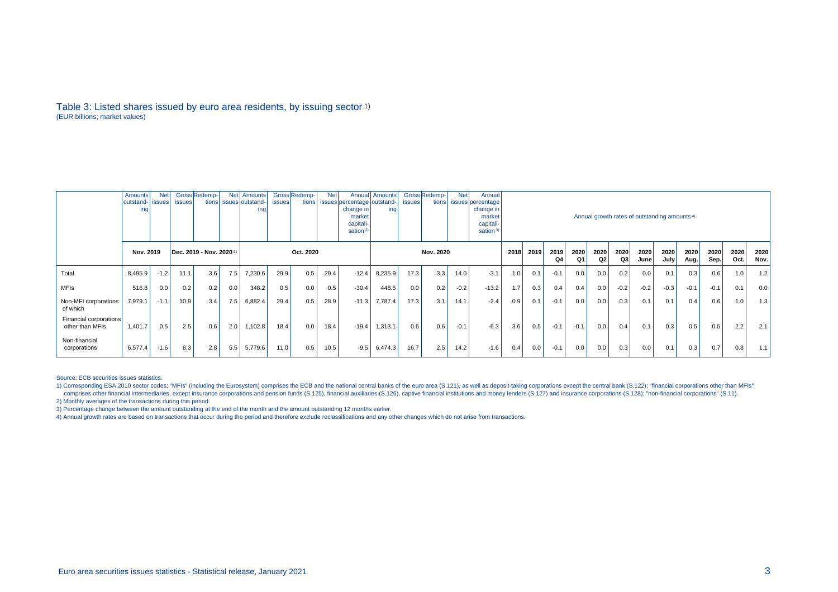#### Table 3: Listed shares issued by euro area residents, by issuing sector 1) (EUR billions; market values)

|                                           | Amounts<br>outstand-   issues  <br>ing | <b>Net</b> | <i>issues</i> | Gross Redemp-<br>tions              |     | Net Amounts<br>issues outstand-<br>ing | <i>issues</i> | Gross Redemp-<br>tions | <b>Net</b> | Annual<br>issues percentage outstand-<br>change in <sup>1</sup><br>market<br>capitali-<br>sation <sup>3)</sup> | Amounts<br>ing | <b>issues</b> | Gross Redemp-<br>tions | <b>Net</b> | Annual<br>issues percentage<br>change in<br>market<br>capitali-<br>sation <sup>3)</sup> | Annual growth rates of outstanding amounts <sup>4)</sup> |      |            |            |            |                        |              |              |              |              |              |              |
|-------------------------------------------|----------------------------------------|------------|---------------|-------------------------------------|-----|----------------------------------------|---------------|------------------------|------------|----------------------------------------------------------------------------------------------------------------|----------------|---------------|------------------------|------------|-----------------------------------------------------------------------------------------|----------------------------------------------------------|------|------------|------------|------------|------------------------|--------------|--------------|--------------|--------------|--------------|--------------|
|                                           | Nov. 2019                              |            |               | Dec. 2019 - Nov. 2020 <sup>2)</sup> |     | Oct. 2020                              |               |                        |            |                                                                                                                | Nov. 2020      |               |                        |            |                                                                                         |                                                          | 2019 | 2019<br>Q4 | 2020<br>Q1 | 2020<br>Q2 | 2020<br>Q <sub>3</sub> | 2020<br>June | 2020<br>July | 2020<br>Aug. | 2020<br>Sep. | 2020<br>Oct. | 2020<br>Nov. |
| Total                                     | 8,495.9                                | $-1.2$     | 11.1          | 3.6                                 | 7.5 | 7,230.6                                | 29.9          | 0.5                    | 29.4       | $-12.4$                                                                                                        | 8,235.9        | 17.3          | 3.3                    | 14.0       | $-3.1$                                                                                  | 1.0                                                      | 0.1  | $-0.1$     | 0.0        | 0.0        | 0.2                    | 0.0          | 0.1          | 0.3          | 0.6          | 1.0          | 1.2          |
| <b>MFIs</b>                               | 516.8                                  | 0.0        | 0.2           | 0.2                                 | 0.0 | 348.2                                  | 0.5           | 0.0                    | 0.5        | $-30.4$                                                                                                        | 448.5          | 0.0           | 0.2                    | $-0.2$     | $-13.2$                                                                                 | 1.7                                                      | 0.3  | 0.4        | 0.4        | 0.0        | $-0.2$                 | $-0.2$       | $-0.3$       | $-0.1$       | $-0.1$       | 0.1          | 0.0          |
| Non-MFI corporations<br>of which          | 7,979.1                                | $-1.1$     | 10.9          | 3.4                                 | 7.5 | 6,882.4                                | 29.4          | 0.5                    | 28.9       | $-11.3$                                                                                                        | 7,787.4        | 17.3          | 3.1                    | 14.1       | $-2.4$                                                                                  | 0.9                                                      | 0.1  | $-0.1$     | 0.0        | 0.0        | 0.3                    | 0.1          | 0.1          | 0.4          | 0.6          | 1.0          | 1.3          |
| Financial corporations<br>other than MFIs | 1,401.7                                | 0.5        | 2.5           | 0.6                                 | 2.0 | 1,102.8                                | 18.4          | 0.0                    | 18.4       | $-19.4$                                                                                                        | 1,313.1        | 0.6           | 0.6                    | $-0.1$     | $-6.3$                                                                                  | 3.6                                                      | 0.5  | $-0.1$     | $-0.1$     | 0.0        | 0.4                    | 0.1          | 0.3          | 0.5          | 0.5          | 2.2          | 2.1          |
| Non-financial<br>corporations             | 6,577.4                                | $-1.6$     | 8.3           | 2.8                                 | 5.5 | 5,779.6                                | 11.0          | 0.5                    | 10.5       | $-9.5$                                                                                                         | 6,474.3        | 16.7          | 2.5                    | 14.2       | $-1.6$                                                                                  | 0.4                                                      | 0.0  | $-0.1$     | 0.0        | 0.0        | 0.3                    | 0.0          | 0.1          | 0.3          | 0.7          | 0.8          | 1.1          |

Source: ECB securities issues statistics.

3) Percentage change between the amount outstanding at the end of the month and the amount outstanding 12 months earlier.

4) Annual growth rates are based on transactions that occur during the period and therefore exclude reclassifications and any other changes which do not arise from transactions.

<sup>1)</sup> Corresponding ESA 2010 sector codes: "MFIs" (including the Eurosystem) comprises the ECB and the national central banks of the euro area (S.121), as well as deposit-taking corporations except the central bank (S.122); " comprises other financial intermediaries, except insurance corporations and pension funds (S.125), financial auxiliaries (S.126), captive financial institutions and money lenders (S.127) and insurance corporations (S.129); 2) Monthly averages of the transactions during this period.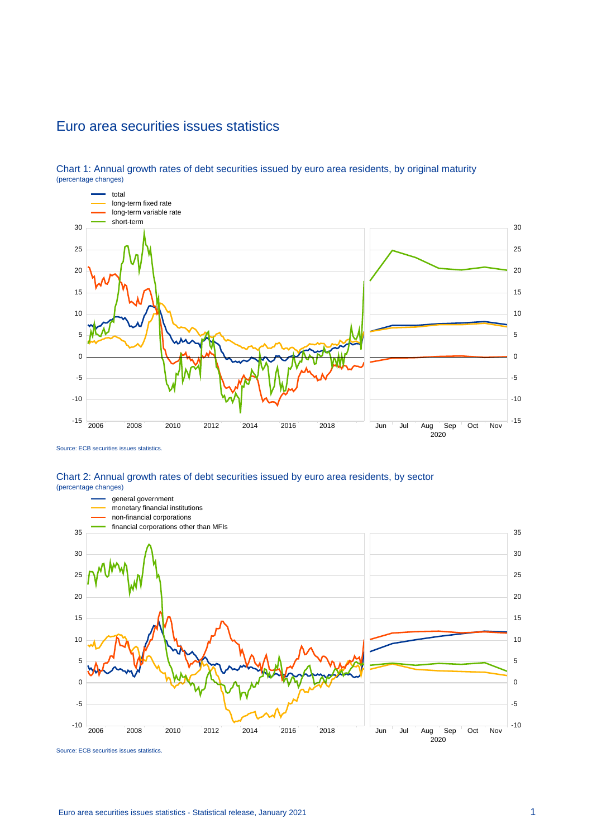## Euro area securities issues statistics



Chart 1: Annual growth rates of debt securities issued by euro area residents, by original maturity (percentage changes)

#### Chart 2: Annual growth rates of debt securities issued by euro area residents, by sector (percentage changes)



Source: ECB securities issues statistics.

Source: ECB securities issues statistics.